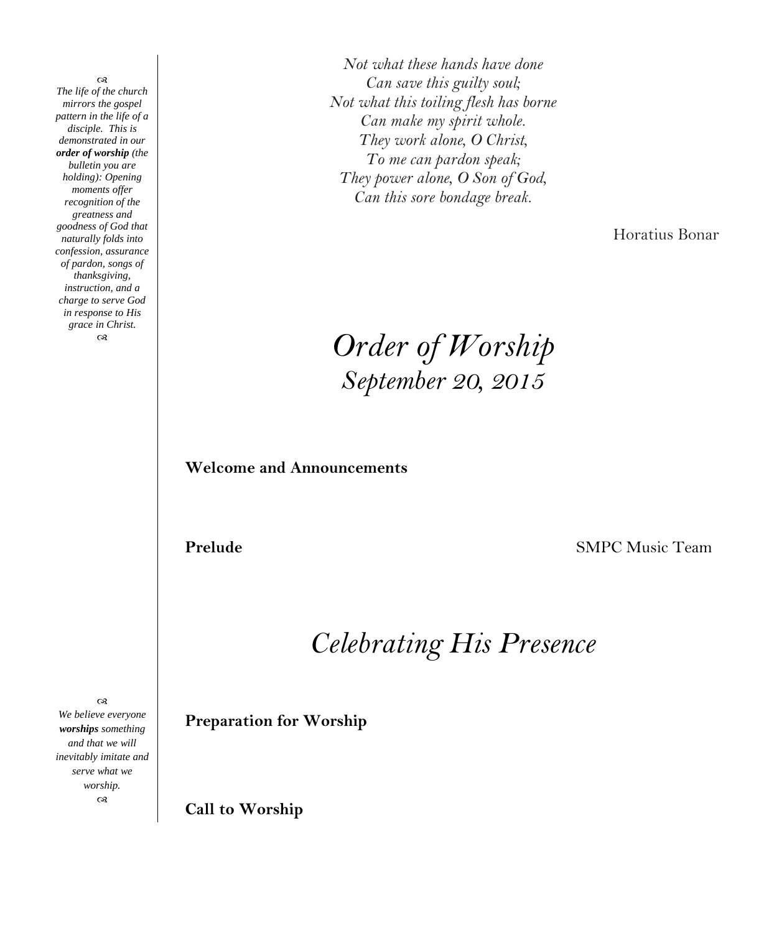œ *The life of the church mirrors the gospel pattern in the life of a disciple. This is demonstrated in our order of worship (the bulletin you are holding): Opening moments offer recognition of the greatness and goodness of God that naturally folds into confession, assurance of pardon, songs of thanksgiving, instruction, and a charge to serve God in response to His grace in Christ.*  $\infty$ 

*Not what these hands have done Can save this guilty soul; Not what this toiling flesh has borne Can make my spirit whole. They work alone, O Christ, To me can pardon speak; They power alone, O Son of God, Can this sore bondage break.*

Horatius Bonar

*Order of Worship September 20, 2015*

**Welcome and Announcements**

**Prelude SMPC** Music Team

*Celebrating His Presence*

 $\infty$ *We believe everyone worships something and that we will inevitably imitate and serve what we worship.*  $\infty$ 

**Preparation for Worship**

**Call to Worship**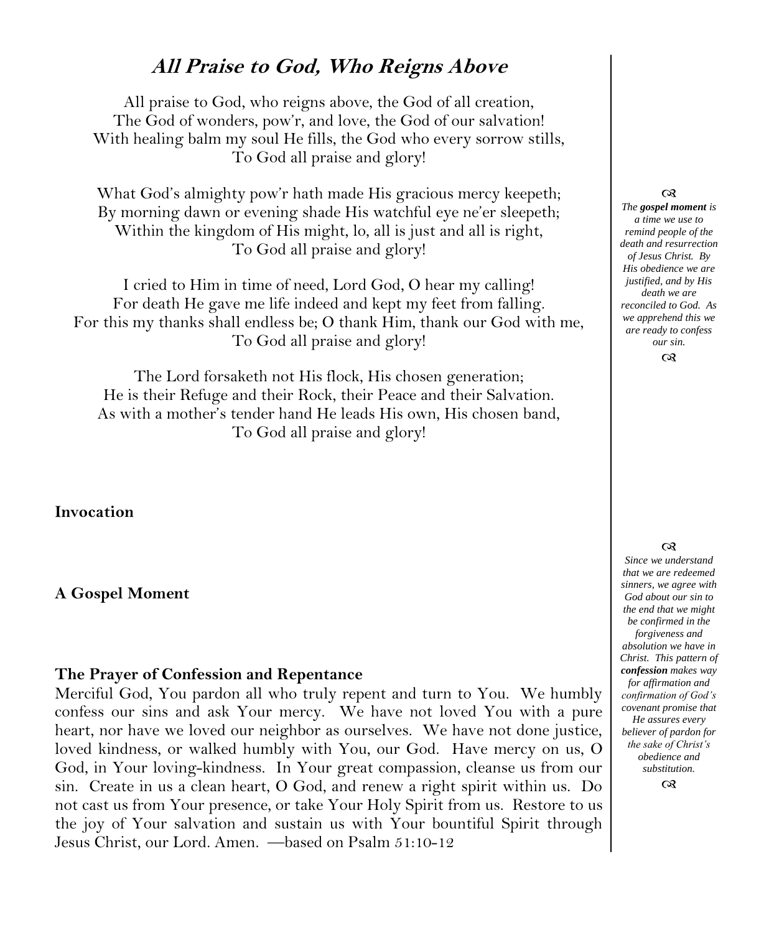## **All Praise to God, Who Reigns Above**

All praise to God, who reigns above, the God of all creation, The God of wonders, pow'r, and love, the God of our salvation! With healing balm my soul He fills, the God who every sorrow stills, To God all praise and glory!

What God's almighty pow'r hath made His gracious mercy keepeth; By morning dawn or evening shade His watchful eye ne'er sleepeth; Within the kingdom of His might, lo, all is just and all is right, To God all praise and glory!

I cried to Him in time of need, Lord God, O hear my calling! For death He gave me life indeed and kept my feet from falling. For this my thanks shall endless be; O thank Him, thank our God with me, To God all praise and glory!

The Lord forsaketh not His flock, His chosen generation; He is their Refuge and their Rock, their Peace and their Salvation. As with a mother's tender hand He leads His own, His chosen band, To God all praise and glory!

**Invocation**

#### **A Gospel Moment**

#### **The Prayer of Confession and Repentance**

Merciful God, You pardon all who truly repent and turn to You. We humbly confess our sins and ask Your mercy. We have not loved You with a pure heart, nor have we loved our neighbor as ourselves. We have not done justice, loved kindness, or walked humbly with You, our God. Have mercy on us, O God, in Your loving-kindness. In Your great compassion, cleanse us from our sin. Create in us a clean heart, O God, and renew a right spirit within us. Do not cast us from Your presence, or take Your Holy Spirit from us. Restore to us the joy of Your salvation and sustain us with Your bountiful Spirit through Jesus Christ, our Lord. Amen. —based on Psalm 51:10-12

#### $\infty$

*The gospel moment is a time we use to remind people of the death and resurrection of Jesus Christ. By His obedience we are justified, and by His death we are reconciled to God. As we apprehend this we are ready to confess our sin.*

#### $\infty$

#### $^{cs}$

*Since we understand that we are redeemed sinners, we agree with God about our sin to the end that we might be confirmed in the forgiveness and absolution we have in Christ. This pattern of confession makes way for affirmation and confirmation of God's covenant promise that He assures every believer of pardon for the sake of Christ's obedience and substitution.*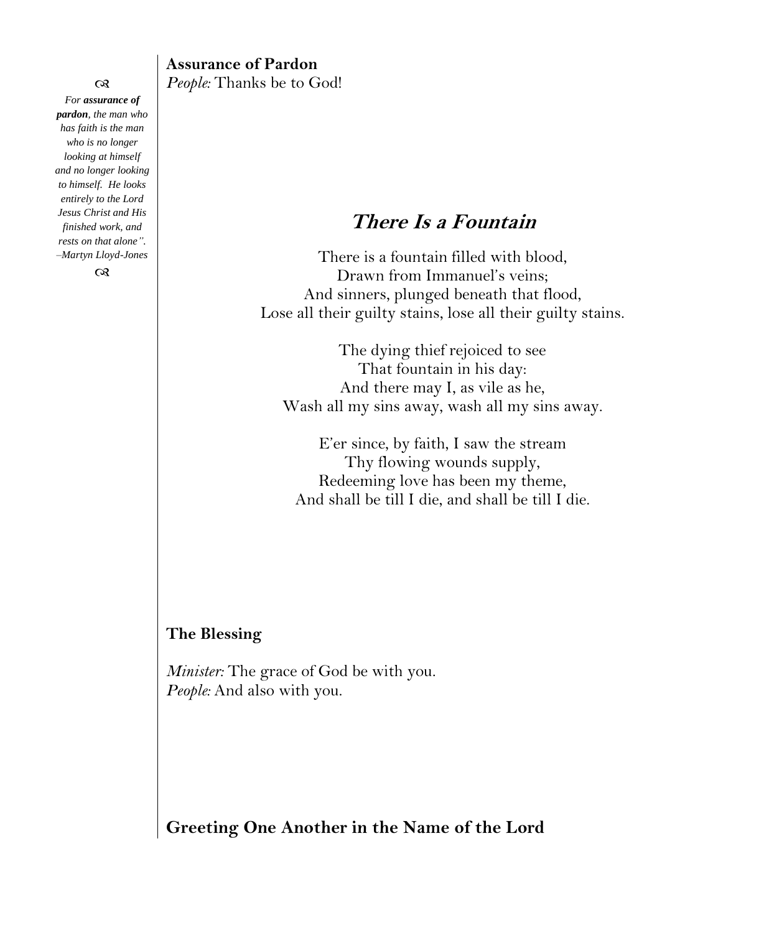$\infty$ *For assurance of pardon, the man who has faith is the man who is no longer looking at himself and no longer looking to himself. He looks entirely to the Lord Jesus Christ and His finished work, and rests on that alone". –Martyn Lloyd-Jones*

 $\infty$ 

#### **Assurance of Pardon** *People:* Thanks be to God!

# **There Is a Fountain**

There is a fountain filled with blood, Drawn from Immanuel's veins; And sinners, plunged beneath that flood, Lose all their guilty stains, lose all their guilty stains.

The dying thief rejoiced to see That fountain in his day: And there may I, as vile as he, Wash all my sins away, wash all my sins away.

E'er since, by faith, I saw the stream Thy flowing wounds supply, Redeeming love has been my theme, And shall be till I die, and shall be till I die.

#### **The Blessing**

*Minister:* The grace of God be with you. *People:* And also with you.

**Greeting One Another in the Name of the Lord**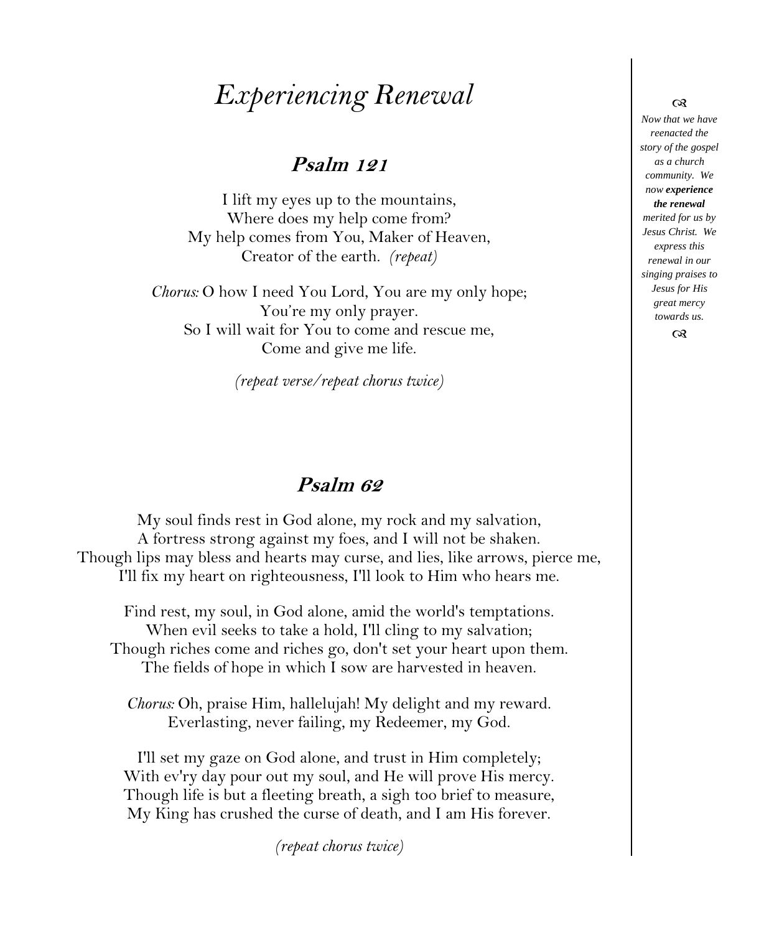# *Experiencing Renewal*

### **Psalm 121**

I lift my eyes up to the mountains, Where does my help come from? My help comes from You, Maker of Heaven, Creator of the earth. *(repeat)* 

*Chorus:* O how I need You Lord, You are my only hope; You're my only prayer. So I will wait for You to come and rescue me, Come and give me life.

*(repeat verse/repeat chorus twice)*

## **Psalm 62**

My soul finds rest in God alone, my rock and my salvation, A fortress strong against my foes, and I will not be shaken. Though lips may bless and hearts may curse, and lies, like arrows, pierce me, I'll fix my heart on righteousness, I'll look to Him who hears me.

Find rest, my soul, in God alone, amid the world's temptations. When evil seeks to take a hold, I'll cling to my salvation; Though riches come and riches go, don't set your heart upon them. The fields of hope in which I sow are harvested in heaven.

*Chorus:* Oh, praise Him, hallelujah! My delight and my reward. Everlasting, never failing, my Redeemer, my God.

I'll set my gaze on God alone, and trust in Him completely; With ev'ry day pour out my soul, and He will prove His mercy. Though life is but a fleeting breath, a sigh too brief to measure, My King has crushed the curse of death, and I am His forever.

*(repeat chorus twice)*

#### *Now that we have reenacted the story of the gospel as a church community. We now experience the renewal merited for us by Jesus Christ. We express this renewal in our singing praises to Jesus for His great mercy towards us.*

രു

 $\infty$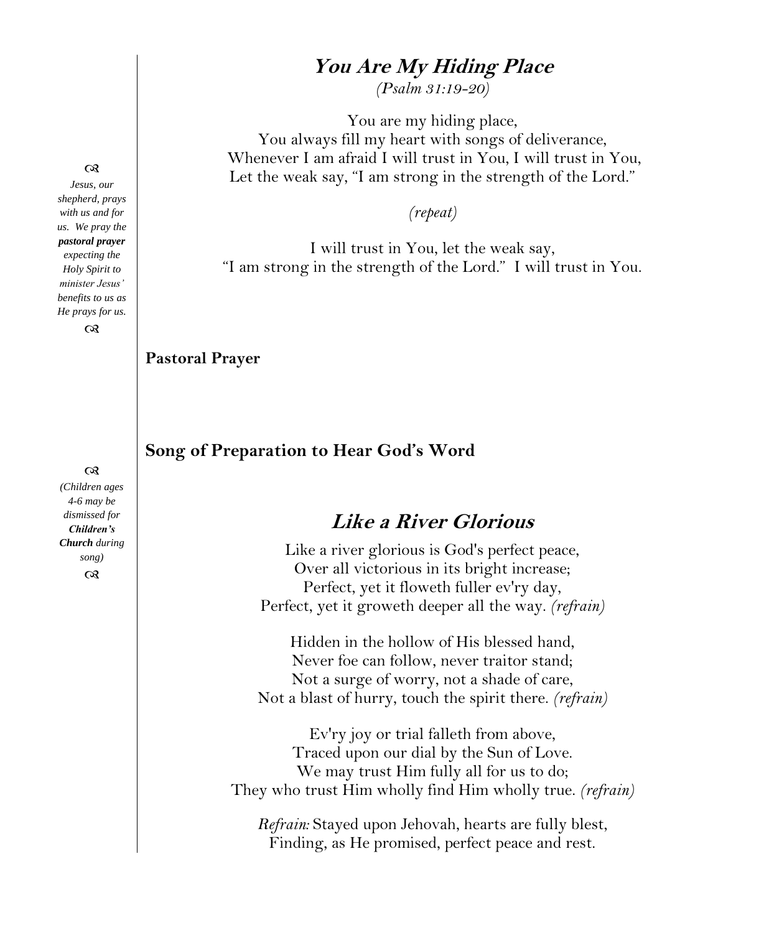### **You Are My Hiding Place**

*(Psalm 31:19-20)* 

You are my hiding place, You always fill my heart with songs of deliverance, Whenever I am afraid I will trust in You, I will trust in You, Let the weak say, "I am strong in the strength of the Lord."

*(repeat)*

I will trust in You, let the weak say, "I am strong in the strength of the Lord." I will trust in You.

**Pastoral Prayer**

**Song of Preparation to Hear God's Word**

# **Like a River Glorious**

Like a river glorious is God's perfect peace, Over all victorious in its bright increase; Perfect, yet it floweth fuller ev'ry day, Perfect, yet it groweth deeper all the way. *(refrain)*

Hidden in the hollow of His blessed hand, Never foe can follow, never traitor stand; Not a surge of worry, not a shade of care, Not a blast of hurry, touch the spirit there. *(refrain)*

Ev'ry joy or trial falleth from above, Traced upon our dial by the Sun of Love. We may trust Him fully all for us to do; They who trust Him wholly find Him wholly true. *(refrain)*

*Refrain:* Stayed upon Jehovah, hearts are fully blest, Finding, as He promised, perfect peace and rest.

#### $\infty$

*Jesus, our shepherd, prays with us and for us. We pray the pastoral prayer expecting the Holy Spirit to minister Jesus' benefits to us as He prays for us.*  $\infty$ 

 $\infty$ 

*(Children ages 4-6 may be dismissed for Children's Church during song)*  $\infty$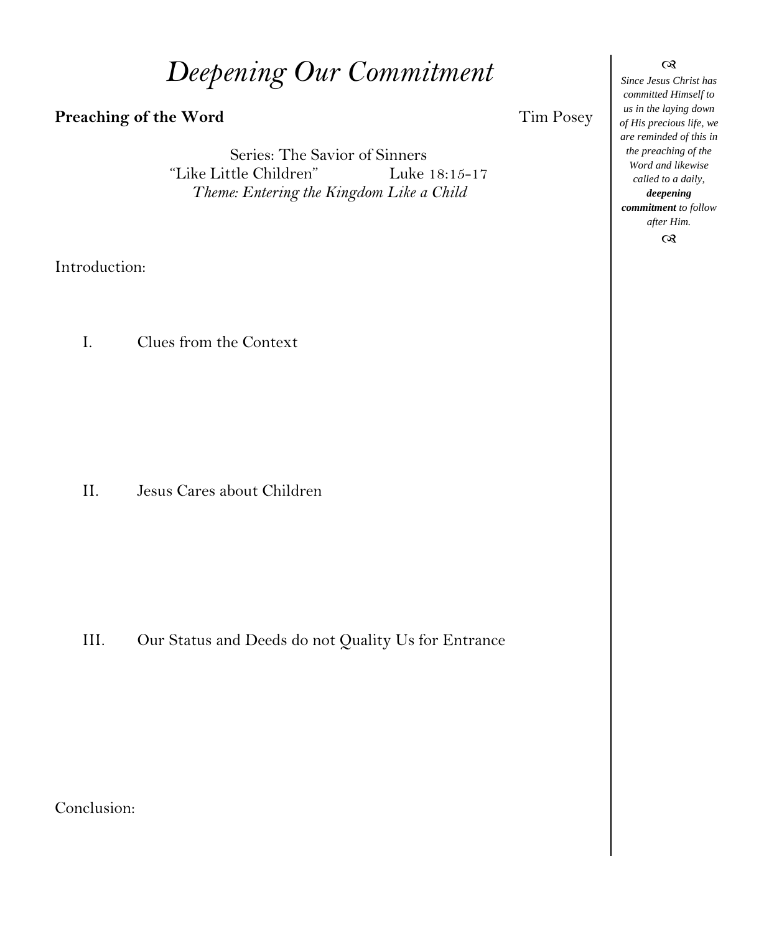# *Deepening Our Commitment*

#### **Preaching of the Word Tim Posey**

Series: The Savior of Sinners "Like Little Children" Luke 18:15-17 *Theme: Entering the Kingdom Like a Child*

Introduction:

I. Clues from the Context

II. Jesus Cares about Children

III. Our Status and Deeds do not Quality Us for Entrance

Conclusion:

*Since Jesus Christ has committed Himself to us in the laying down of His precious life, we are reminded of this in the preaching of the Word and likewise called to a daily, deepening*

 $\infty$ 

*commitment to follow after Him.*

 $\alpha$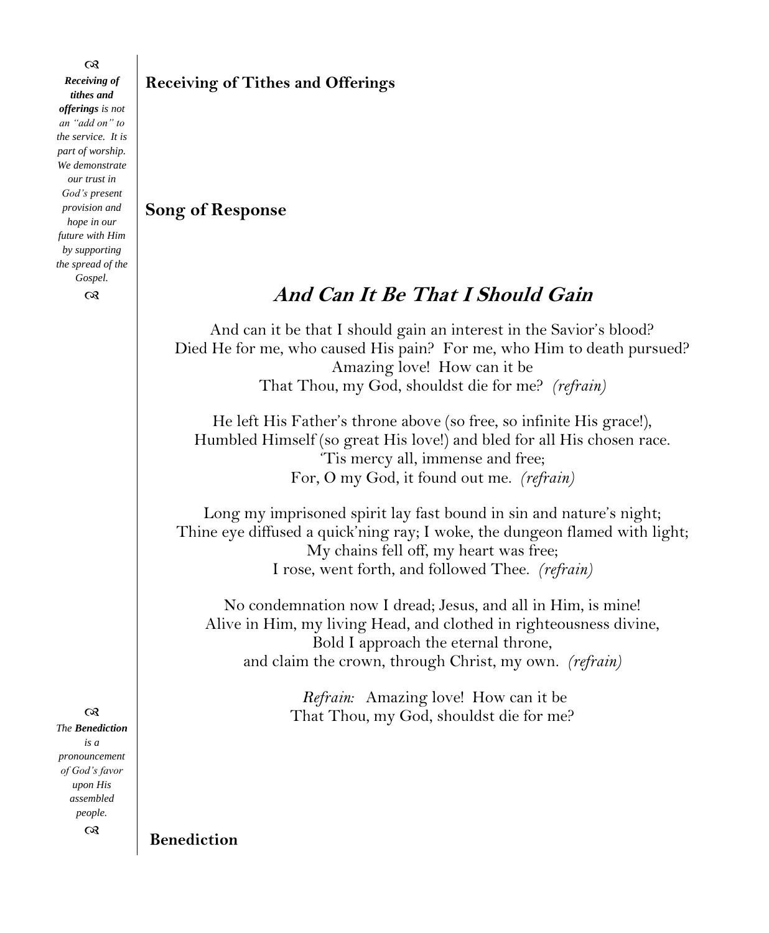*Receiving of tithes and offerings is not an "add on" to the service. It is part of worship. We demonstrate our trust in God's present provision and hope in our future with Him by supporting the spread of the Gospel.*

 $\infty$ 

 $\infty$ *The Benediction is a pronouncement of God's favor upon His assembled people.*  $^{cs}$ 

**Receiving of Tithes and Offerings**

#### **Song of Response**

# **And Can It Be That I Should Gain**

And can it be that I should gain an interest in the Savior's blood? Died He for me, who caused His pain? For me, who Him to death pursued? Amazing love! How can it be That Thou, my God, shouldst die for me? *(refrain)*

He left His Father's throne above (so free, so infinite His grace!), Humbled Himself (so great His love!) and bled for all His chosen race. 'Tis mercy all, immense and free; For, O my God, it found out me. *(refrain)*

Long my imprisoned spirit lay fast bound in sin and nature's night; Thine eye diffused a quick'ning ray; I woke, the dungeon flamed with light; My chains fell off, my heart was free; I rose, went forth, and followed Thee. *(refrain)*

No condemnation now I dread; Jesus, and all in Him, is mine! Alive in Him, my living Head, and clothed in righteousness divine, Bold I approach the eternal throne, and claim the crown, through Christ, my own. *(refrain)*

> *Refrain:* Amazing love! How can it be That Thou, my God, shouldst die for me?

**Benediction**